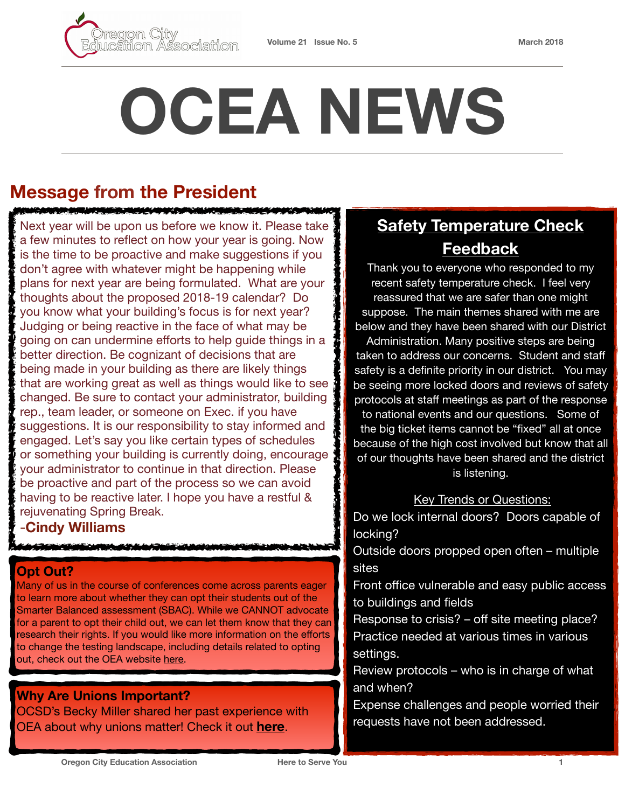

# **OCEA NEWS**

## **Message from the President**

<u>ter biskunde for die der Provinsier verschieden die </u>

Next year will be upon us before we know it. Please take a few minutes to reflect on how your year is going. Now is the time to be proactive and make suggestions if you don't agree with whatever might be happening while plans for next year are being formulated. What are your thoughts about the proposed 2018-19 calendar? Do you know what your building's focus is for next year? Judging or being reactive in the face of what may be going on can undermine efforts to help guide things in a better direction. Be cognizant of decisions that are being made in your building as there are likely things that are working great as well as things would like to see changed. Be sure to contact your administrator, building rep., team leader, or someone on Exec. if you have suggestions. It is our responsibility to stay informed and engaged. Let's say you like certain types of schedules or something your building is currently doing, encourage your administrator to continue in that direction. Please be proactive and part of the process so we can avoid having to be reactive later. I hope you have a restful & rejuvenating Spring Break.

### -**Cindy Williams**

### **Opt Out?**

Many of us in the course of conferences come across parents eager to learn more about whether they can opt their students out of the Smarter Balanced assessment (SBAC). While we CANNOT advocate for a parent to opt their child out, we can let them know that they can research their rights. If you would like more information on the efforts to change the testing landscape, including details related to opting out, check out the OEA website [here.](https://www.oregoned.org/stay-informed/student-assessment/opt-out-options)

**Why Are Unions Important?**  OCSD's Becky Miller shared her past experience with OEA about why unions matter! Check it out **[here](https://issuu.com/todaysoea/docs/toea_winter18_v3/16?ff=true)**.

# **Safety Temperature Check Feedback**

Thank you to everyone who responded to my recent safety temperature check. I feel very reassured that we are safer than one might suppose. The main themes shared with me are below and they have been shared with our District Administration. Many positive steps are being taken to address our concerns. Student and staff safety is a definite priority in our district. You may be seeing more locked doors and reviews of safety protocols at staff meetings as part of the response

to national events and our questions. Some of the big ticket items cannot be "fixed" all at once because of the high cost involved but know that all of our thoughts have been shared and the district is listening.

#### Key Trends or Questions:

Do we lock internal doors? Doors capable of locking?

Outside doors propped open often – multiple sites

Front office vulnerable and easy public access to buildings and fields

Response to crisis? – off site meeting place? Practice needed at various times in various settings.

Review protocols – who is in charge of what and when?

Expense challenges and people worried their requests have not been addressed.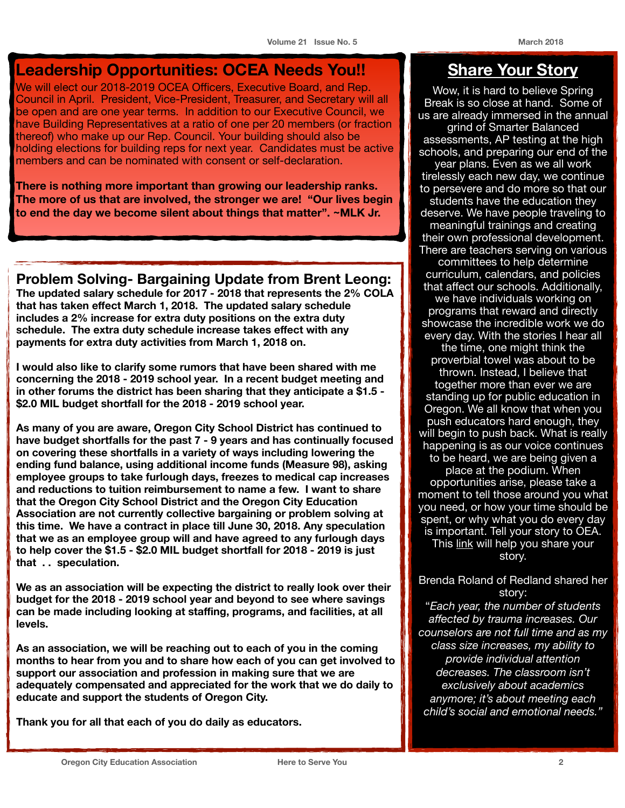## **Leadership Opportunities: OCEA Needs You!!**

We will elect our 2018-2019 OCEA Officers, Executive Board, and Rep. Council in April. President, Vice-President, Treasurer, and Secretary will all be open and are one year terms. In addition to our Executive Council, we have Building Representatives at a ratio of one per 20 members (or fraction thereof) who make up our Rep. Council. Your building should also be holding elections for building reps for next year. Candidates must be active members and can be nominated with consent or self-declaration.

**There is nothing more important than growing our leadership ranks. The more of us that are involved, the stronger we are! "Our lives begin to end the day we become silent about things that matter". ~MLK Jr.**

**Problem Solving- Bargaining Update from Brent Leong: The updated salary schedule for 2017 - 2018 that represents the 2% COLA that has taken effect March 1, 2018. The updated salary schedule includes a 2% increase for extra duty positions on the extra duty schedule. The extra duty schedule increase takes effect with any** 

**payments for extra duty activities from March 1, 2018 on.** 

**I would also like to clarify some rumors that have been shared with me concerning the 2018 - 2019 school year. In a recent budget meeting and in other forums the district has been sharing that they anticipate a \$1.5 - \$2.0 MIL budget shortfall for the 2018 - 2019 school year.** 

**As many of you are aware, Oregon City School District has continued to have budget shortfalls for the past 7 - 9 years and has continually focused on covering these shortfalls in a variety of ways including lowering the ending fund balance, using additional income funds (Measure 98), asking employee groups to take furlough days, freezes to medical cap increases and reductions to tuition reimbursement to name a few. I want to share that the Oregon City School District and the Oregon City Education Association are not currently collective bargaining or problem solving at this time. We have a contract in place till June 30, 2018. Any speculation that we as an employee group will and have agreed to any furlough days to help cover the \$1.5 - \$2.0 MIL budget shortfall for 2018 - 2019 is just that . . speculation.** 

**We as an association will be expecting the district to really look over their budget for the 2018 - 2019 school year and beyond to see where savings can be made including looking at staffing, programs, and facilities, at all levels.** 

**As an association, we will be reaching out to each of you in the coming months to hear from you and to share how each of you can get involved to support our association and profession in making sure that we are adequately compensated and appreciated for the work that we do daily to educate and support the students of Oregon City.** 

**Thank you for all that each of you do daily as educators.**

## **Share Your Story**

Wow, it is hard to believe Spring Break is so close at hand. Some of us are already immersed in the annual grind of Smarter Balanced assessments, AP testing at the high schools, and preparing our end of the year plans. Even as we all work tirelessly each new day, we continue to persevere and do more so that our students have the education they deserve. We have people traveling to meaningful trainings and creating their own professional development. There are teachers serving on various committees to help determine curriculum, calendars, and policies that affect our schools. Additionally, we have individuals working on programs that reward and directly showcase the incredible work we do every day. With the stories I hear all the time, one might think the proverbial towel was about to be thrown. Instead, I believe that together more than ever we are standing up for public education in Oregon. We all know that when you push educators hard enough, they will begin to push back. What is really happening is as our voice continues to be heard, we are being given a place at the podium. When opportunities arise, please take a moment to tell those around you what you need, or how your time should be spent, or why what you do every day is important. Tell your story to OEA. This [link](https://www.oregoned.org/whats-new/have-you-experienced-disruptive-learning-environments) will help you share your story.

Brenda Roland of Redland shared her story: "*Each year, the number of students affected by trauma increases. Our counselors are not full time and as my class size increases, my ability to provide individual attention decreases. The classroom isn't exclusively about academics anymore; it's about meeting each child's social and emotional needs."*